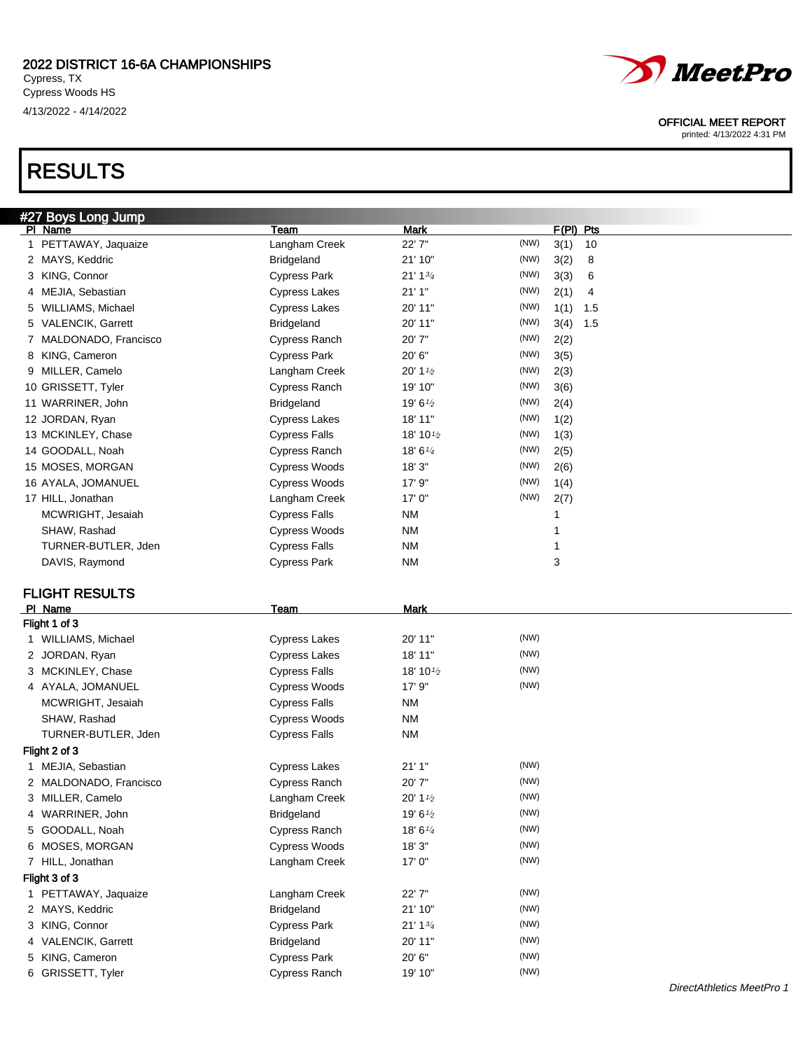RESULTS



## OFFICIAL MEET REPORT

printed: 4/13/2022 4:31 PM

| #27 Boys Long Jump      |                      |                                    |                     |
|-------------------------|----------------------|------------------------------------|---------------------|
| PI Name                 | Team                 | <b>Mark</b>                        | $F(PI)$ Pts         |
| 1 PETTAWAY, Jaquaize    | Langham Creek        | 22' 7"                             | (NW)<br>3(1)<br>10  |
| 2 MAYS, Keddric         | <b>Bridgeland</b>    | 21' 10"                            | (NW)<br>3(2)<br>8   |
| 3 KING, Connor          | <b>Cypress Park</b>  | 21' 1 <sup>3</sup> / <sub>4</sub>  | (NW)<br>3(3)<br>6   |
| 4 MEJIA, Sebastian      | <b>Cypress Lakes</b> | 21'1"                              | (NW)<br>2(1)<br>4   |
| WILLIAMS, Michael<br>5. | <b>Cypress Lakes</b> | 20' 11"                            | (NW)<br>1(1)<br>1.5 |
| 5 VALENCIK, Garrett     | <b>Bridgeland</b>    | 20' 11"                            | (NW)<br>3(4)<br>1.5 |
| 7 MALDONADO, Francisco  | Cypress Ranch        | 20' 7"                             | (NW)<br>2(2)        |
| 8 KING, Cameron         | <b>Cypress Park</b>  | 20' 6"                             | (NW)<br>3(5)        |
| 9 MILLER, Camelo        | Langham Creek        | $20'$ 1 $\frac{1}{2}$              | (NW)<br>2(3)        |
| 10 GRISSETT, Tyler      | Cypress Ranch        | 19' 10"                            | (NW)<br>3(6)        |
| 11 WARRINER, John       | <b>Bridgeland</b>    | 19' 61/2                           | (NW)<br>2(4)        |
| 12 JORDAN, Ryan         | <b>Cypress Lakes</b> | 18' 11"                            | (NW)<br>1(2)        |
| 13 MCKINLEY, Chase      | <b>Cypress Falls</b> | 18' 10 <sup>1</sup> / <sub>2</sub> | (NW)<br>1(3)        |
| 14 GOODALL, Noah        | Cypress Ranch        | 18' $6\frac{1}{4}$                 | (NW)<br>2(5)        |
| 15 MOSES, MORGAN        | Cypress Woods        | 18' 3"                             | (NW)<br>2(6)        |
| 16 AYALA, JOMANUEL      | Cypress Woods        | 17'9''                             | (NW)<br>1(4)        |
| 17 HILL, Jonathan       | Langham Creek        | 17'0''                             | (NW)<br>2(7)        |
| MCWRIGHT, Jesaiah       | <b>Cypress Falls</b> | ΝM                                 | 1                   |
| SHAW, Rashad            | Cypress Woods        | <b>NM</b>                          | 1                   |
| TURNER-BUTLER, Jden     | <b>Cypress Falls</b> | <b>NM</b>                          | 1                   |
| DAVIS, Raymond          | <b>Cypress Park</b>  | <b>NM</b>                          | 3                   |
| <b>FLIGHT RESULTS</b>   |                      |                                    |                     |
| PI Name                 | <b>Team</b>          | Mark                               |                     |
| Flight 1 of 3           |                      |                                    |                     |
| 1 WILLIAMS, Michael     | <b>Cypress Lakes</b> | 20' 11"                            | (NW)                |
| 2 JORDAN, Ryan          | <b>Cypress Lakes</b> | 18' 11"                            | (NW)                |
| 3 MCKINLEY, Chase       | <b>Cypress Falls</b> | 18' 10 <sup>1</sup> / <sub>2</sub> | (NW)                |
| 4 AYALA, JOMANUEL       | <b>Cypress Woods</b> | 17' 9"                             | (NW)                |
| MCWRIGHT, Jesaiah       | <b>Cypress Falls</b> | <b>NM</b>                          |                     |
| SHAW, Rashad            | <b>Cypress Woods</b> | <b>NM</b>                          |                     |
| TURNER-BUTLER, Jden     | <b>Cypress Falls</b> | <b>NM</b>                          |                     |
| Flight 2 of 3           |                      |                                    |                     |
| 1 MEJIA, Sebastian      | <b>Cypress Lakes</b> | 21' 1"                             | (NW)                |
| 2 MALDONADO, Francisco  | <b>Cypress Ranch</b> | 20'7"                              | (NW)                |
| 3 MILLER, Camelo        | Langham Creek        | $20'$ 1 $\frac{1}{2}$              | (NW)                |
| 4 WARRINER, John        | <b>Bridgeland</b>    | 19' 61/2                           | (NW)                |
| 5 GOODALL, Noah         | Cypress Ranch        | 18' 61/4                           | (NW)                |
| 6 MOSES, MORGAN         | Cypress Woods        | 18'3"                              | (NW)                |
| 7 HILL, Jonathan        | Langham Creek        | 17' 0"                             | (NW)                |
| Flight 3 of 3           |                      |                                    |                     |
| 1 PETTAWAY, Jaquaize    | Langham Creek        | 22' 7"                             | (NW)                |
| 2 MAYS, Keddric         | <b>Bridgeland</b>    | 21' 10"                            | (NW)                |
| 3 KING, Connor          | <b>Cypress Park</b>  | 21' 13/4                           | (NW)                |
| 4 VALENCIK, Garrett     | <b>Bridgeland</b>    | 20' 11"                            | (NW)                |
|                         |                      |                                    |                     |
| 5 KING, Cameron         | <b>Cypress Park</b>  | 20' 6"                             | (NW)                |